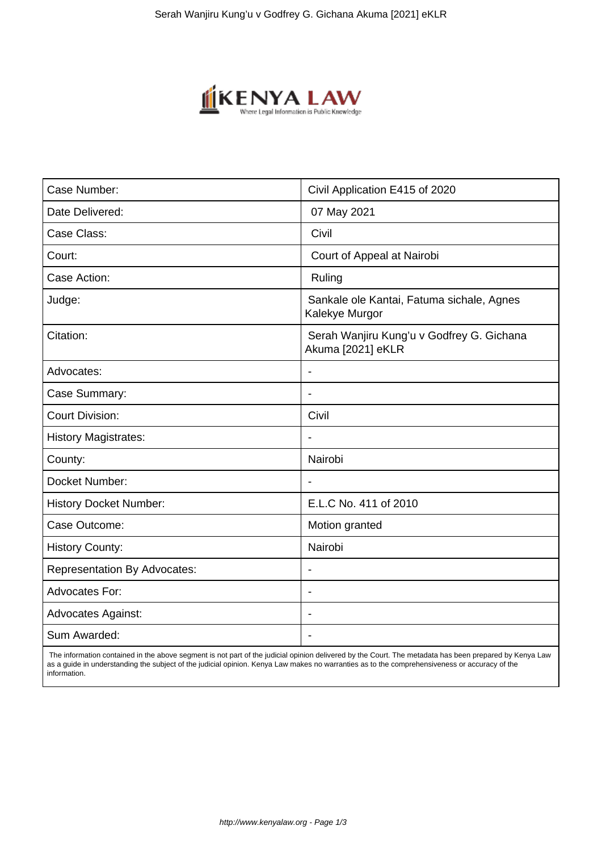

| Case Number:                        | Civil Application E415 of 2020                                 |
|-------------------------------------|----------------------------------------------------------------|
| Date Delivered:                     | 07 May 2021                                                    |
| Case Class:                         | Civil                                                          |
| Court:                              | Court of Appeal at Nairobi                                     |
| Case Action:                        | Ruling                                                         |
| Judge:                              | Sankale ole Kantai, Fatuma sichale, Agnes<br>Kalekye Murgor    |
| Citation:                           | Serah Wanjiru Kung'u v Godfrey G. Gichana<br>Akuma [2021] eKLR |
| Advocates:                          | $\overline{\phantom{0}}$                                       |
| Case Summary:                       | $\overline{\phantom{a}}$                                       |
| <b>Court Division:</b>              | Civil                                                          |
| <b>History Magistrates:</b>         |                                                                |
| County:                             | Nairobi                                                        |
| Docket Number:                      | $\blacksquare$                                                 |
| <b>History Docket Number:</b>       | E.L.C No. 411 of 2010                                          |
| Case Outcome:                       | Motion granted                                                 |
| <b>History County:</b>              | Nairobi                                                        |
| <b>Representation By Advocates:</b> | $\blacksquare$                                                 |
| <b>Advocates For:</b>               | $\blacksquare$                                                 |
| <b>Advocates Against:</b>           | $\blacksquare$                                                 |
| Sum Awarded:                        | $\blacksquare$                                                 |

 The information contained in the above segment is not part of the judicial opinion delivered by the Court. The metadata has been prepared by Kenya Law as a guide in understanding the subject of the judicial opinion. Kenya Law makes no warranties as to the comprehensiveness or accuracy of the information.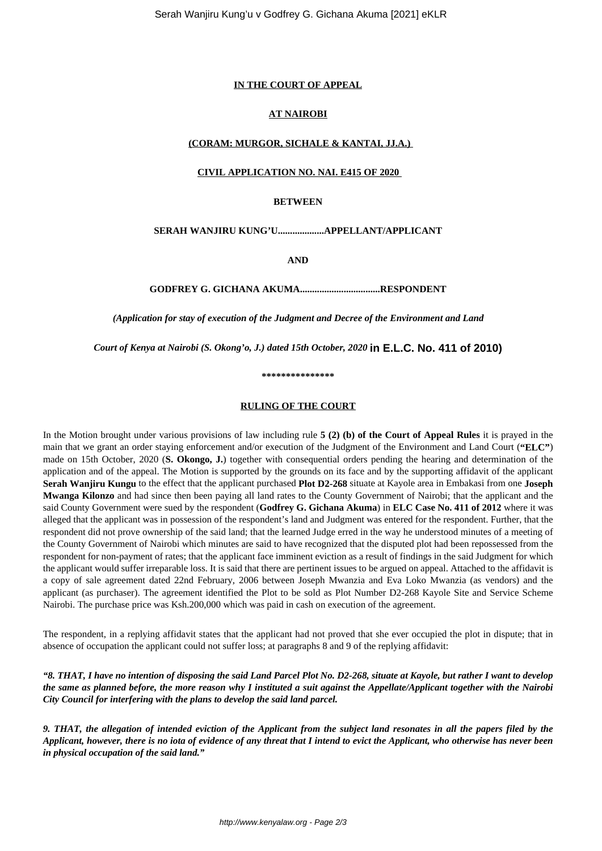### **IN THE COURT OF APPEAL**

### **AT NAIROBI**

## **(CORAM: MURGOR, SICHALE & KANTAI, JJ.A.)**

#### **CIVIL APPLICATION NO. NAI. E415 OF 2020**

#### **BETWEEN**

#### **SERAH WANJIRU KUNG'U...................APPELLANT/APPLICANT**

**AND**

**GODFREY G. GICHANA AKUMA.................................RESPONDENT**

*(Application for stay of execution of the Judgment and Decree of the Environment and Land*

*Court of Kenya at Nairobi (S. Okong'o, J.) dated 15th October, 2020* **in E.L.C. No. 411 of 2010)**

**\*\*\*\*\*\*\*\*\*\*\*\*\*\*\***

#### **RULING OF THE COURT**

In the Motion brought under various provisions of law including rule **5 (2) (b) of the Court of Appeal Rules** it is prayed in the main that we grant an order staying enforcement and/or execution of the Judgment of the Environment and Land Court (**"ELC"**) made on 15th October, 2020 (**S. Okongo, J.**) together with consequential orders pending the hearing and determination of the application and of the appeal. The Motion is supported by the grounds on its face and by the supporting affidavit of the applicant **Serah Wanjiru Kungu** to the effect that the applicant purchased **Plot D2-268** situate at Kayole area in Embakasi from one **Joseph Mwanga Kilonzo** and had since then been paying all land rates to the County Government of Nairobi; that the applicant and the said County Government were sued by the respondent (**Godfrey G. Gichana Akuma**) in **ELC Case No. 411 of 2012** where it was alleged that the applicant was in possession of the respondent's land and Judgment was entered for the respondent. Further, that the respondent did not prove ownership of the said land; that the learned Judge erred in the way he understood minutes of a meeting of the County Government of Nairobi which minutes are said to have recognized that the disputed plot had been repossessed from the respondent for non-payment of rates; that the applicant face imminent eviction as a result of findings in the said Judgment for which the applicant would suffer irreparable loss. It is said that there are pertinent issues to be argued on appeal. Attached to the affidavit is a copy of sale agreement dated 22nd February, 2006 between Joseph Mwanzia and Eva Loko Mwanzia (as vendors) and the applicant (as purchaser). The agreement identified the Plot to be sold as Plot Number D2-268 Kayole Site and Service Scheme Nairobi. The purchase price was Ksh.200,000 which was paid in cash on execution of the agreement.

The respondent, in a replying affidavit states that the applicant had not proved that she ever occupied the plot in dispute; that in absence of occupation the applicant could not suffer loss; at paragraphs 8 and 9 of the replying affidavit:

*"8. THAT, I have no intention of disposing the said Land Parcel Plot No. D2-268, situate at Kayole, but rather I want to develop the same as planned before, the more reason why I instituted a suit against the Appellate/Applicant together with the Nairobi City Council for interfering with the plans to develop the said land parcel.*

*9. THAT, the allegation of intended eviction of the Applicant from the subject land resonates in all the papers filed by the Applicant, however, there is no iota of evidence of any threat that I intend to evict the Applicant, who otherwise has never been in physical occupation of the said land."*